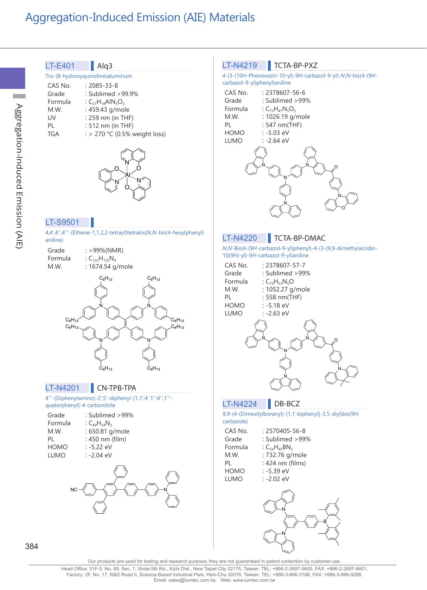| -F40 | Alg3 |
|------|------|
|------|------|

#### Tris-(8-hydroxyquinoline)aluminum

| CAS No.    | $: 2085 - 33 - 8$             |
|------------|-------------------------------|
| Grade      | : Sublimed >99.9%             |
| Formula    | : $C_{27}H_{18}AlN_3O_3$      |
| M.W.       | : 459.43 g/mole               |
| UV         | : 259 nm (in THF)             |
| PL         | $: 512$ nm (in THF)           |
| <b>TGA</b> | : > 270 °C (0.5% weight loss) |
|            |                               |



#### LT-S9501

4,4',4'',4'''-(Ethene-1,1,2,2-tetrayl)tetrakis(N,N-bis(4-hexylphenyl) aniline)

 $C_6H_{13}$ 

| Grade   | : >99%(NMR)           |
|---------|-----------------------|
| Formula | : $C_{122}H_{152}N_4$ |
| M.W.    | : 1674.54 g/mole      |
|         | $C_6H_{13}$           |



### LT-N4201 CN-TPB-TPA

4'''-(Diphenylamino)-2',5'-diphenyl-[1,1':4',1'':4'',1''' quaterphenyl]-4-carbonitrile

| Grade       | : Sublimed $>99\%$  |
|-------------|---------------------|
| Formula     | : $C_{49}H_{34}N_2$ |
| M.W.        | : 650.81 g/mole     |
| PI          | : 450 nm (film)     |
| <b>HOMO</b> | $: -5.22$ eV        |
| <b>LUMO</b> | $: -2.04$ eV        |
|             |                     |



#### LT-N4219 | TCTA-BP-PXZ

4-(3-(10H-Phenoxazin-10-yl)-9H-carbazol-9-yl)-N,N-bis(4-(9Hcarbazol-9-yl)phenyl)aniline

| CAS No. | : 2378607-56-6         |
|---------|------------------------|
| Grade   | : Sublimed >99%        |
| Formula | : $C_{73}H_{47}N_5O_2$ |
| M.W.    | : 1026.19 g/mole       |
| PI      | $: 547 nm$ (THF)       |
| HOMO    | : -5.03 eV             |
| LUMO    | $: -2.64$ eV           |
|         |                        |



## LT-N4220 | TCTA-BP-DMAC

N,N-Bis(4-(9H-carbazol-9-yl)phenyl)-4-(3-(9,9-dimethylacridin-10(9H)-yl)-9H-carbazol-9-yl)aniline

| CAS No.<br>Grade<br>Formula<br>M.W.<br>PL<br>HOMO | : 2378607-57-7<br>: Sublimed >99%<br>: $C_{76}H_{53}N_5O$<br>: 1052.27 g/mole<br>: 558 nm(THF)<br>: -5.18 eV |
|---------------------------------------------------|--------------------------------------------------------------------------------------------------------------|
| <b>LUMO</b>                                       | $: -2.63$ eV                                                                                                 |
|                                                   |                                                                                                              |



### LT-N4224 DB-BCZ

9,9-(4-(Dimesitylboranyl)-[1,1-biphenyl]-3,5-diyl)bis(9Hcarbazole)

| CAS No.     | : 2570405-56-8       |
|-------------|----------------------|
| Grade       | : Sublimed > 99%     |
| Formula     | : $C_{54}H_{45}BN_2$ |
| M.W.        | : 732.76 g/mole      |
| PL          | : 424 nm (films)     |
| <b>HOMO</b> | : -5.39 eV           |
| <b>LUMO</b> | $: -2.02$ eV         |
|             |                      |



Our products are used for testing and research purpose; they are not guaranteed in patent contention by customer use

Head Office: 31F-5, No. 99, Sec. 1, Xintai 5th Rd., Xizhi Dist., New Taipei City 22175, Taiwan. TEL: +886-2-2697-5600, FAX: +886-2-2697-5601.<br>Factory: 2F, No. 17, R&D Road II, Science-Based Industrial Park, Hsin-Chu 30076 Email: sales@lumtec.com.tw, Web: www.lumtec.com.tw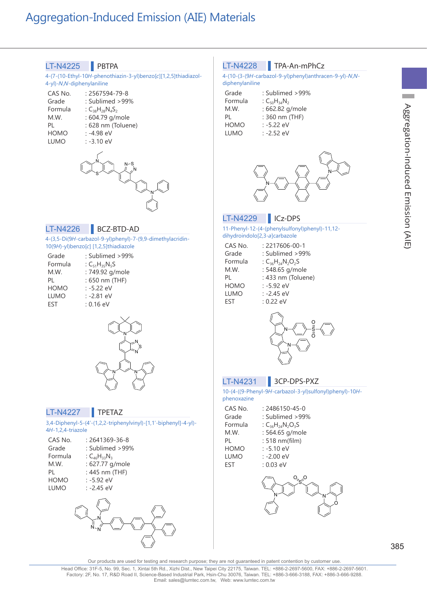

**College** 

Our products are used for testing and research purpose; they are not guaranteed in patent contention by customer use.

Head Office: 31F-5, No. 99, Sec. 1, Xintai 5th Rd., Xizhi Dist., New Taipei City 22175, Taiwan. TEL: +886-2-2697-5600, FAX: +886-2-2697-5601.<br>Factory: 2F, No. 17, R&D Road II, Science-Based Industrial Park, Hsin-Chu 30076 Email: sales@lumtec.com.tw, Web: www.lumtec.com.tw

O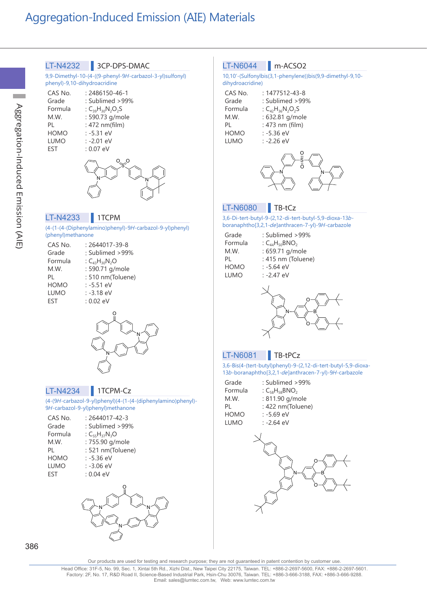# LT-N4232 3CP-DPS-DMAC

9,9-Dimethyl-10-(4-((9-phenyl-9H-carbazol-3-yl)sulfonyl) phenyl)-9,10-dihydroacridine

| CAS No. | $: 2486150 - 46 - 1$    |
|---------|-------------------------|
| Grade   | : Sublimed >99%         |
| Formula | : $C_{39}H_{30}N_2O_2S$ |
| M.W.    | : 590.73 g/mole         |
| PL      | : 472 nm(film)          |
| HOMO    | $: -5.31$ eV            |
| LUMO    | : -2.01 eV              |
| EST     | : 0.07 eV               |
|         |                         |



### LT-N4233 1TCPM

(4-(1-(4-(Diphenylamino)phenyl)-9H-carbazol-9-yl)phenyl) (phenyl)methanone

| CAS No.     | $: 2644017 - 39 - 8$ |
|-------------|----------------------|
| Grade       | : Sublimed >99%      |
| Formula     | : $C_{43}H_{30}N_2O$ |
| M.W.        | : 590.71 g/mole      |
| PI          | : 510 nm(Toluene)    |
| <b>HOMO</b> | $: -5.51$ eV         |
| <b>LUMO</b> | $: -3.18$ eV         |
| <b>FST</b>  | $: 0.02$ eV          |
|             |                      |



# LT-N4234 1TCPM-Cz

(4-(9H-carbazol-9-yl)phenyl)(4-(1-(4-(diphenylamino)phenyl)- 9H-carbazol-9-yl)phenyl)methanone

| CAS No.     | $.2644017 - 42 - 3$  |
|-------------|----------------------|
| Grade       | $:$ Sublimed $>99\%$ |
| Formula     | $:C_{55}H_{37}N_3O$  |
| M.W.        | : 755.90 g/mole      |
| PI          | : 521 nm(Toluene)    |
| <b>HOMO</b> | : -5.36 eV           |
| <b>LUMO</b> | $: -3.06$ eV         |
| <b>FST</b>  | $: 0.04$ eV          |
|             |                      |



#### LT-N6044 m-ACSO2

10,10'-(Sulfonylbis(3,1-phenylene))bis(9,9-dimethyl-9,10 dihydroacridine)

| CAS No.     | $: 1477512 - 43 - 8$    |
|-------------|-------------------------|
| Grade       | : Sublimed >99%         |
| Formula     | : $C_{42}H_{36}N_2O_2S$ |
| M.W.        | : 632.81 g/mole         |
| PL          | : 473 nm (film)         |
| <b>HOMO</b> | : -5.36 eV              |
| <b>LUMO</b> | $: -2.26$ eV            |
|             |                         |



#### LT-N6080 | TB-tCz

3,6-Di-tert-butyl-9-(2,12-di-tert-butyl-5,9-dioxa-13bboranaphtho[3,2,1-de]anthracen-7-yl)-9H-carbazole

| Grade       | : Sublimed >99%       |
|-------------|-----------------------|
| Formula     | : $C_{44}H_{50}BNO_2$ |
| M.W.        | : 659.71 g/mole       |
| PI          | : 415 nm (Toluene)    |
| <b>HOMO</b> | : -5.64 eV            |
| <b>LUMO</b> | $: -2.47$ eV          |
|             |                       |



### LT-N6081 TB-tPCz

3,6-Bis(4-(tert-butyl)phenyl)-9-(2,12-di-tert-butyl-5,9-dioxa-13b-boranaphtho[3,2,1-de]anthracen-7-yl)-9H-carbazole

| Grade       | : Sublimed >99%      |
|-------------|----------------------|
| Formula     | $: C_{58}H_{58}BNO2$ |
| M.W.        | : 811.90 g/mole      |
| PI          | : 422 nm(Toluene)    |
| <b>HOMO</b> | $: -5.69$ eV         |
| LUMO        | $.264 \text{ eV}$    |



386

**College** 

Our products are used for testing and research purpose; they are not guaranteed in patent contention by customer use.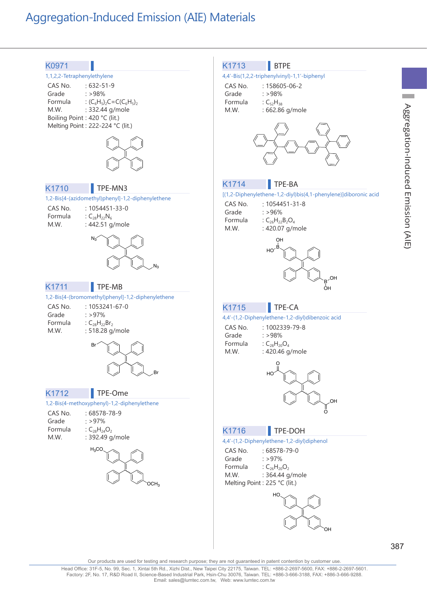

Our products are used for testing and research purpose; they are not guaranteed in patent contention by customer use

Head Office: 31F-5, No. 99, Sec. 1, Xintai 5th Rd., Xizhi Dist., New Taipei City 22175, Taiwan. TEL: +886-2-2697-5600, FAX: +886-2-2697-5601.<br>Factory: 2F, No. 17, R&D Road II, Science-Based Industrial Park, Hsin-Chu 30076 Email: sales@lumtec.com.tw, Web: www.lumtec.com.tw